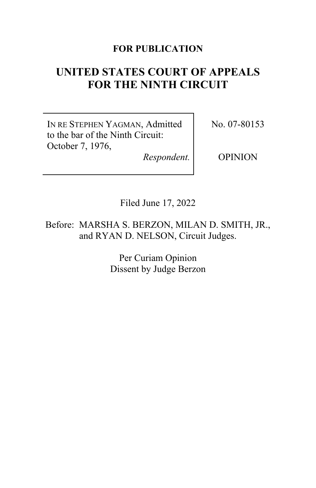# **FOR PUBLICATION**

# **UNITED STATES COURT OF APPEALS FOR THE NINTH CIRCUIT**

IN RE STEPHEN YAGMAN, Admitted to the bar of the Ninth Circuit: October 7, 1976,

*Respondent.*

No. 07-80153

OPINION

Filed June 17, 2022

Before: MARSHA S. BERZON, MILAN D. SMITH, JR., and RYAN D. NELSON, Circuit Judges.

> Per Curiam Opinion Dissent by Judge Berzon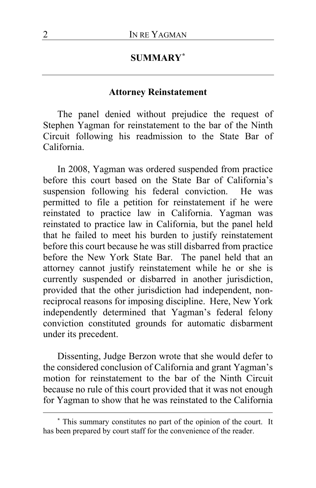# **SUMMARY[\\*](#page-1-0)**

#### **Attorney Reinstatement**

The panel denied without prejudice the request of Stephen Yagman for reinstatement to the bar of the Ninth Circuit following his readmission to the State Bar of California.

In 2008, Yagman was ordered suspended from practice before this court based on the State Bar of California's suspension following his federal conviction. He was permitted to file a petition for reinstatement if he were reinstated to practice law in California. Yagman was reinstated to practice law in California, but the panel held that he failed to meet his burden to justify reinstatement before this court because he was still disbarred from practice before the New York State Bar. The panel held that an attorney cannot justify reinstatement while he or she is currently suspended or disbarred in another jurisdiction, provided that the other jurisdiction had independent, nonreciprocal reasons for imposing discipline. Here, New York independently determined that Yagman's federal felony conviction constituted grounds for automatic disbarment under its precedent.

Dissenting, Judge Berzon wrote that she would defer to the considered conclusion of California and grant Yagman's motion for reinstatement to the bar of the Ninth Circuit because no rule of this court provided that it was not enough for Yagman to show that he was reinstated to the California

<span id="page-1-0"></span>**<sup>\*</sup>** This summary constitutes no part of the opinion of the court. It has been prepared by court staff for the convenience of the reader.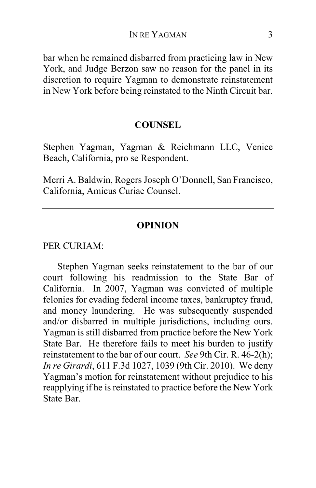bar when he remained disbarred from practicing law in New York, and Judge Berzon saw no reason for the panel in its discretion to require Yagman to demonstrate reinstatement in New York before being reinstated to the Ninth Circuit bar.

#### **COUNSEL**

Stephen Yagman, Yagman & Reichmann LLC, Venice Beach, California, pro se Respondent.

Merri A. Baldwin, Rogers Joseph O'Donnell, San Francisco, California, Amicus Curiae Counsel.

#### **OPINION**

PER CURIAM:

Stephen Yagman seeks reinstatement to the bar of our court following his readmission to the State Bar of California. In 2007, Yagman was convicted of multiple felonies for evading federal income taxes, bankruptcy fraud, and money laundering. He was subsequently suspended and/or disbarred in multiple jurisdictions, including ours. Yagman is still disbarred from practice before the New York State Bar. He therefore fails to meet his burden to justify reinstatement to the bar of our court. *See* 9th Cir. R. 46-2(h); *In re Girardi*, 611 F.3d 1027, 1039 (9th Cir. 2010). We deny Yagman's motion for reinstatement without prejudice to his reapplying if he is reinstated to practice before the New York State Bar.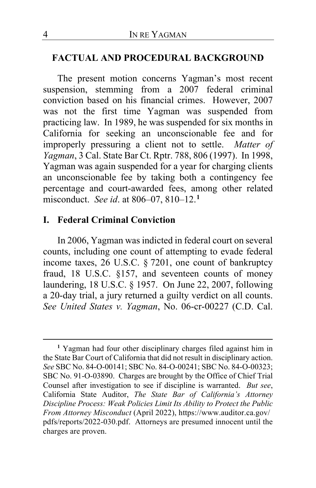#### **FACTUAL AND PROCEDURAL BACKGROUND**

The present motion concerns Yagman's most recent suspension, stemming from a 2007 federal criminal conviction based on his financial crimes. However, 2007 was not the first time Yagman was suspended from practicing law. In 1989, he was suspended for six months in California for seeking an unconscionable fee and for improperly pressuring a client not to settle. *Matter of Yagman*, 3 Cal. State Bar Ct. Rptr. 788, 806 (1997). In 1998, Yagman was again suspended for a year for charging clients an unconscionable fee by taking both a contingency fee percentage and court-awarded fees, among other related misconduct. *See id*. at 806–07, 810–12.**[1](#page-3-0)**

### **I. Federal Criminal Conviction**

In 2006, Yagman was indicted in federal court on several counts, including one count of attempting to evade federal income taxes, 26 U.S.C. § 7201, one count of bankruptcy fraud, 18 U.S.C. §157, and seventeen counts of money laundering, 18 U.S.C. § 1957. On June 22, 2007, following a 20-day trial, a jury returned a guilty verdict on all counts. *See United States v. Yagman*, No. 06-cr-00227 (C.D. Cal.

<span id="page-3-0"></span>**<sup>1</sup>** Yagman had four other disciplinary charges filed against him in the State Bar Court of California that did not result in disciplinary action. *See* SBC No. 84-O-00141; SBC No. 84-O-00241; SBC No. 84-O-00323; SBC No. 91-O-03890. Charges are brought by the Office of Chief Trial Counsel after investigation to see if discipline is warranted. *But see*, California State Auditor, *The State Bar of California's Attorney Discipline Process: Weak Policies Limit Its Ability to Protect the Public From Attorney Misconduct* (April 2022), https://www.auditor.ca.gov/ pdfs/reports/2022-030.pdf. Attorneys are presumed innocent until the charges are proven.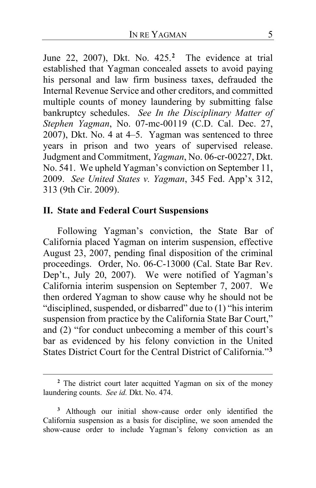June 22, 2007), Dkt. No. 425.**[2](#page-4-0)** The evidence at trial established that Yagman concealed assets to avoid paying his personal and law firm business taxes, defrauded the Internal Revenue Service and other creditors, and committed multiple counts of money laundering by submitting false bankruptcy schedules. *See In the Disciplinary Matter of Stephen Yagman*, No. 07-mc-00119 (C.D. Cal. Dec. 27, 2007), Dkt. No. 4 at 4–5. Yagman was sentenced to three years in prison and two years of supervised release. Judgment and Commitment, *Yagman*, No. 06-cr-00227, Dkt. No. 541. We upheld Yagman's conviction on September 11, 2009. *See United States v. Yagman*, 345 Fed. App'x 312, 313 (9th Cir. 2009).

## **II. State and Federal Court Suspensions**

Following Yagman's conviction, the State Bar of California placed Yagman on interim suspension, effective August 23, 2007, pending final disposition of the criminal proceedings. Order, No. 06-C-13000 (Cal. State Bar Rev. Dep't., July 20, 2007). We were notified of Yagman's California interim suspension on September 7, 2007. We then ordered Yagman to show cause why he should not be "disciplined, suspended, or disbarred" due to (1) "his interim suspension from practice by the California State Bar Court," and (2) "for conduct unbecoming a member of this court's bar as evidenced by his felony conviction in the United States District Court for the Central District of California."**[3](#page-4-1)**

<span id="page-4-0"></span>**<sup>2</sup>** The district court later acquitted Yagman on six of the money laundering counts. *See id.* Dkt. No. 474.

<span id="page-4-1"></span>**<sup>3</sup>** Although our initial show-cause order only identified the California suspension as a basis for discipline, we soon amended the show-cause order to include Yagman's felony conviction as an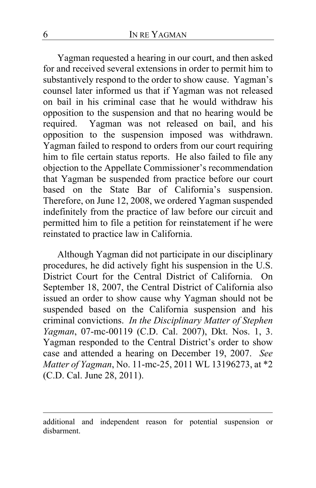Yagman requested a hearing in our court, and then asked for and received several extensions in order to permit him to substantively respond to the order to show cause. Yagman's counsel later informed us that if Yagman was not released on bail in his criminal case that he would withdraw his opposition to the suspension and that no hearing would be required. Yagman was not released on bail, and his opposition to the suspension imposed was withdrawn. Yagman failed to respond to orders from our court requiring him to file certain status reports. He also failed to file any objection to the Appellate Commissioner's recommendation that Yagman be suspended from practice before our court based on the State Bar of California's suspension. Therefore, on June 12, 2008, we ordered Yagman suspended indefinitely from the practice of law before our circuit and permitted him to file a petition for reinstatement if he were reinstated to practice law in California.

Although Yagman did not participate in our disciplinary procedures, he did actively fight his suspension in the U.S. District Court for the Central District of California. On September 18, 2007, the Central District of California also issued an order to show cause why Yagman should not be suspended based on the California suspension and his criminal convictions. *In the Disciplinary Matter of Stephen Yagman*, 07-mc-00119 (C.D. Cal. 2007), Dkt. Nos. 1, 3. Yagman responded to the Central District's order to show case and attended a hearing on December 19, 2007. *See Matter of Yagman*, No. 11-mc-25, 2011 WL 13196273, at \*2 (C.D. Cal. June 28, 2011).

additional and independent reason for potential suspension or disbarment.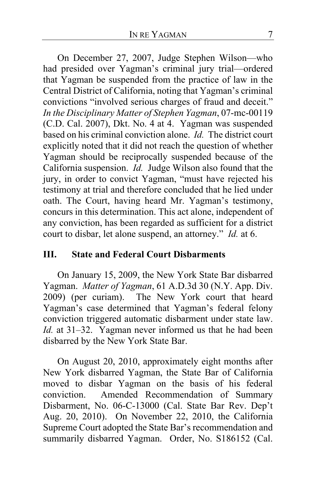On December 27, 2007, Judge Stephen Wilson—who had presided over Yagman's criminal jury trial—ordered that Yagman be suspended from the practice of law in the Central District of California, noting that Yagman's criminal convictions "involved serious charges of fraud and deceit." *In the Disciplinary Matter of Stephen Yagman*, 07-mc-00119 (C.D. Cal. 2007), Dkt. No. 4 at 4. Yagman was suspended based on his criminal conviction alone. *Id.* The district court explicitly noted that it did not reach the question of whether Yagman should be reciprocally suspended because of the California suspension. *Id.* Judge Wilson also found that the jury, in order to convict Yagman, "must have rejected his testimony at trial and therefore concluded that he lied under oath. The Court, having heard Mr. Yagman's testimony, concurs in this determination. This act alone, independent of any conviction, has been regarded as sufficient for a district court to disbar, let alone suspend, an attorney." *Id.* at 6.

## **III. State and Federal Court Disbarments**

On January 15, 2009, the New York State Bar disbarred Yagman. *Matter of Yagman*, 61 A.D.3d 30 (N.Y. App. Div. 2009) (per curiam). The New York court that heard Yagman's case determined that Yagman's federal felony conviction triggered automatic disbarment under state law. *Id.* at 31–32. Yagman never informed us that he had been disbarred by the New York State Bar.

On August 20, 2010, approximately eight months after New York disbarred Yagman, the State Bar of California moved to disbar Yagman on the basis of his federal conviction. Amended Recommendation of Summary Disbarment, No. 06-C-13000 (Cal. State Bar Rev. Dep't Aug. 20, 2010). On November 22, 2010, the California Supreme Court adopted the State Bar's recommendation and summarily disbarred Yagman. Order, No. S186152 (Cal.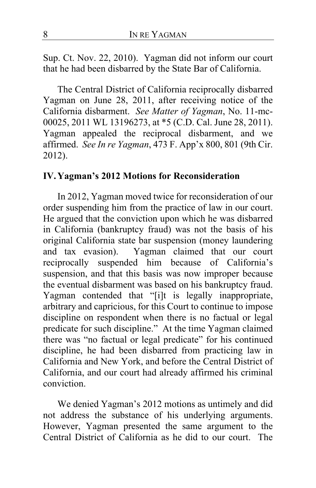Sup. Ct. Nov. 22, 2010). Yagman did not inform our court that he had been disbarred by the State Bar of California.

The Central District of California reciprocally disbarred Yagman on June 28, 2011, after receiving notice of the California disbarment. *See Matter of Yagman*, No. 11-mc-00025, 2011 WL 13196273, at \*5 (C.D. Cal. June 28, 2011). Yagman appealed the reciprocal disbarment, and we affirmed. *See In re Yagman*, 473 F. App'x 800, 801 (9th Cir. 2012).

# **IV.Yagman's 2012 Motions for Reconsideration**

In 2012, Yagman moved twice for reconsideration of our order suspending him from the practice of law in our court. He argued that the conviction upon which he was disbarred in California (bankruptcy fraud) was not the basis of his original California state bar suspension (money laundering and tax evasion). Yagman claimed that our court reciprocally suspended him because of California's suspension, and that this basis was now improper because the eventual disbarment was based on his bankruptcy fraud. Yagman contended that "[i]t is legally inappropriate, arbitrary and capricious, for this Court to continue to impose discipline on respondent when there is no factual or legal predicate for such discipline." At the time Yagman claimed there was "no factual or legal predicate" for his continued discipline, he had been disbarred from practicing law in California and New York, and before the Central District of California, and our court had already affirmed his criminal conviction.

We denied Yagman's 2012 motions as untimely and did not address the substance of his underlying arguments. However, Yagman presented the same argument to the Central District of California as he did to our court. The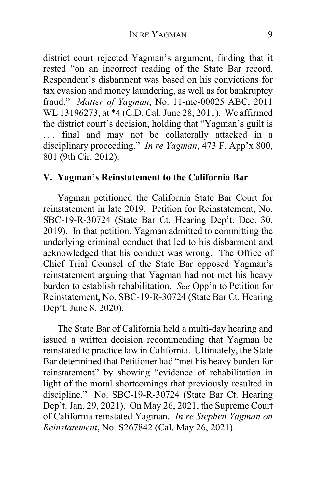district court rejected Yagman's argument, finding that it rested "on an incorrect reading of the State Bar record. Respondent's disbarment was based on his convictions for tax evasion and money laundering, as well as for bankruptcy fraud." *Matter of Yagman*, No. 11-mc-00025 ABC, 2011 WL 13196273, at \*4 (C.D. Cal. June 28, 2011). We affirmed the district court's decision, holding that "Yagman's guilt is ... final and may not be collaterally attacked in a disciplinary proceeding." *In re Yagman*, 473 F. App'x 800, 801 (9th Cir. 2012).

# **V. Yagman's Reinstatement to the California Bar**

Yagman petitioned the California State Bar Court for reinstatement in late 2019. Petition for Reinstatement, No. SBC-19-R-30724 (State Bar Ct. Hearing Dep't. Dec. 30, 2019). In that petition, Yagman admitted to committing the underlying criminal conduct that led to his disbarment and acknowledged that his conduct was wrong. The Office of Chief Trial Counsel of the State Bar opposed Yagman's reinstatement arguing that Yagman had not met his heavy burden to establish rehabilitation. *See* Opp'n to Petition for Reinstatement, No. SBC-19-R-30724 (State Bar Ct. Hearing Dep't. June 8, 2020).

The State Bar of California held a multi-day hearing and issued a written decision recommending that Yagman be reinstated to practice law in California. Ultimately, the State Bar determined that Petitioner had "met his heavy burden for reinstatement" by showing "evidence of rehabilitation in light of the moral shortcomings that previously resulted in discipline." No. SBC-19-R-30724 (State Bar Ct. Hearing Dep't. Jan. 29, 2021). On May 26, 2021, the Supreme Court of California reinstated Yagman. *In re Stephen Yagman on Reinstatement*, No. S267842 (Cal. May 26, 2021).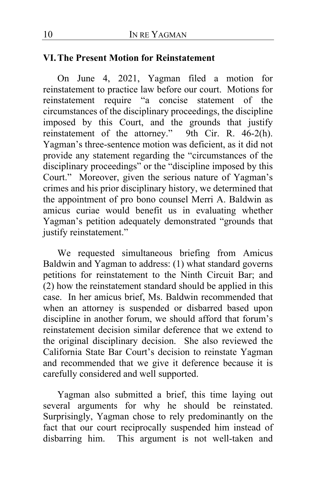### **VI.The Present Motion for Reinstatement**

On June 4, 2021, Yagman filed a motion for reinstatement to practice law before our court. Motions for reinstatement require "a concise statement of the circumstances of the disciplinary proceedings, the discipline imposed by this Court, and the grounds that justify reinstatement of the attorney." 9th Cir. R. 46-2(h). Yagman's three-sentence motion was deficient, as it did not provide any statement regarding the "circumstances of the disciplinary proceedings" or the "discipline imposed by this Court." Moreover, given the serious nature of Yagman's crimes and his prior disciplinary history, we determined that the appointment of pro bono counsel Merri A. Baldwin as amicus curiae would benefit us in evaluating whether Yagman's petition adequately demonstrated "grounds that justify reinstatement."

We requested simultaneous briefing from Amicus Baldwin and Yagman to address: (1) what standard governs petitions for reinstatement to the Ninth Circuit Bar; and (2) how the reinstatement standard should be applied in this case. In her amicus brief, Ms. Baldwin recommended that when an attorney is suspended or disbarred based upon discipline in another forum, we should afford that forum's reinstatement decision similar deference that we extend to the original disciplinary decision. She also reviewed the California State Bar Court's decision to reinstate Yagman and recommended that we give it deference because it is carefully considered and well supported.

Yagman also submitted a brief, this time laying out several arguments for why he should be reinstated. Surprisingly, Yagman chose to rely predominantly on the fact that our court reciprocally suspended him instead of disbarring him. This argument is not well-taken and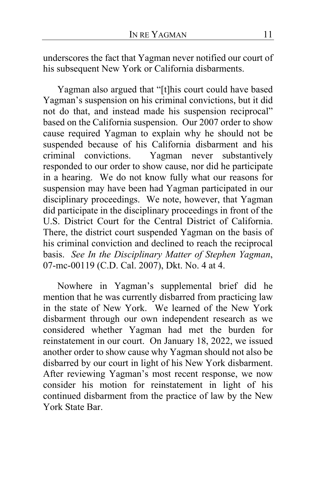underscores the fact that Yagman never notified our court of his subsequent New York or California disbarments.

Yagman also argued that "[t]his court could have based Yagman's suspension on his criminal convictions, but it did not do that, and instead made his suspension reciprocal" based on the California suspension. Our 2007 order to show cause required Yagman to explain why he should not be suspended because of his California disbarment and his criminal convictions. Yagman never substantively Yagman never substantively responded to our order to show cause, nor did he participate in a hearing. We do not know fully what our reasons for suspension may have been had Yagman participated in our disciplinary proceedings. We note, however, that Yagman did participate in the disciplinary proceedings in front of the U.S. District Court for the Central District of California. There, the district court suspended Yagman on the basis of his criminal conviction and declined to reach the reciprocal basis. *See In the Disciplinary Matter of Stephen Yagman*, 07-mc-00119 (C.D. Cal. 2007), Dkt. No. 4 at 4.

Nowhere in Yagman's supplemental brief did he mention that he was currently disbarred from practicing law in the state of New York. We learned of the New York disbarment through our own independent research as we considered whether Yagman had met the burden for reinstatement in our court. On January 18, 2022, we issued another order to show cause why Yagman should not also be disbarred by our court in light of his New York disbarment. After reviewing Yagman's most recent response, we now consider his motion for reinstatement in light of his continued disbarment from the practice of law by the New York State Bar.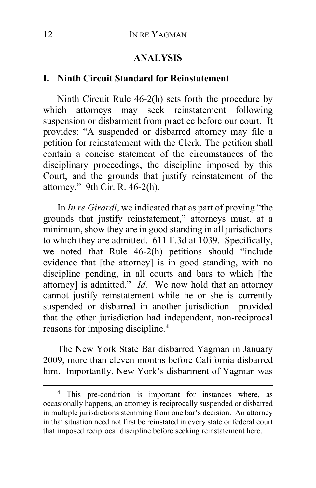## **ANALYSIS**

#### **I. Ninth Circuit Standard for Reinstatement**

Ninth Circuit Rule 46-2(h) sets forth the procedure by which attorneys may seek reinstatement following suspension or disbarment from practice before our court. It provides: "A suspended or disbarred attorney may file a petition for reinstatement with the Clerk. The petition shall contain a concise statement of the circumstances of the disciplinary proceedings, the discipline imposed by this Court, and the grounds that justify reinstatement of the attorney." 9th Cir. R. 46-2(h).

In *In re Girardi*, we indicated that as part of proving "the grounds that justify reinstatement," attorneys must, at a minimum, show they are in good standing in all jurisdictions to which they are admitted. 611 F.3d at 1039. Specifically, we noted that Rule 46-2(h) petitions should "include evidence that [the attorney] is in good standing, with no discipline pending, in all courts and bars to which [the attorney] is admitted." *Id.* We now hold that an attorney cannot justify reinstatement while he or she is currently suspended or disbarred in another jurisdiction—provided that the other jurisdiction had independent, non-reciprocal reasons for imposing discipline.**[4](#page-11-0)**

The New York State Bar disbarred Yagman in January 2009, more than eleven months before California disbarred him. Importantly, New York's disbarment of Yagman was

<span id="page-11-0"></span>**<sup>4</sup>** This pre-condition is important for instances where, as occasionally happens, an attorney is reciprocally suspended or disbarred in multiple jurisdictions stemming from one bar's decision. An attorney in that situation need not first be reinstated in every state or federal court that imposed reciprocal discipline before seeking reinstatement here.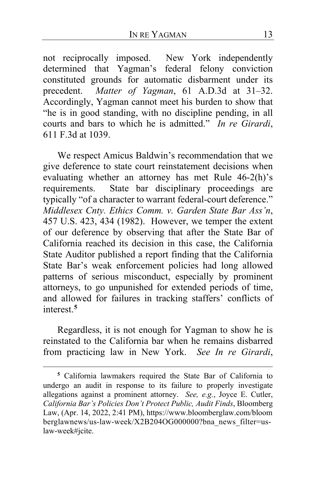not reciprocally imposed. New York independently determined that Yagman's federal felony conviction constituted grounds for automatic disbarment under its precedent. *Matter of Yagman*, 61 A.D.3d at 31–32. Matter of Yagman, 61 A.D.3d at 31–32. Accordingly, Yagman cannot meet his burden to show that "he is in good standing, with no discipline pending, in all courts and bars to which he is admitted." *In re Girardi*, 611 F.3d at 1039.

We respect Amicus Baldwin's recommendation that we give deference to state court reinstatement decisions when evaluating whether an attorney has met Rule 46-2(h)'s requirements. State bar disciplinary proceedings are typically "of a character to warrant federal-court deference." *Middlesex Cnty. Ethics Comm. v. Garden State Bar Ass'n*, 457 U.S. 423, 434 (1982). However, we temper the extent of our deference by observing that after the State Bar of California reached its decision in this case, the California State Auditor published a report finding that the California State Bar's weak enforcement policies had long allowed patterns of serious misconduct, especially by prominent attorneys, to go unpunished for extended periods of time, and allowed for failures in tracking staffers' conflicts of interest.**[5](#page-12-0)**

Regardless, it is not enough for Yagman to show he is reinstated to the California bar when he remains disbarred from practicing law in New York. *See In re Girardi*,

<span id="page-12-0"></span>**<sup>5</sup>** California lawmakers required the State Bar of California to undergo an audit in response to its failure to properly investigate allegations against a prominent attorney. *See, e.g.*, Joyce E. Cutler, *California Bar's Policies Don't Protect Public, Audit Finds*, Bloomberg Law, (Apr. 14, 2022, 2:41 PM), https://www.bloomberglaw.com/bloom berglawnews/us-law-week/X2B204OG000000?bna\_news\_filter=uslaw-week#jcite.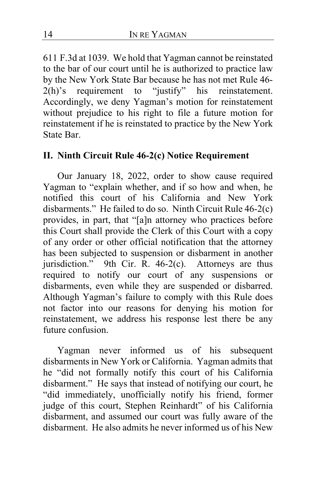611 F.3d at 1039. We hold that Yagman cannot be reinstated to the bar of our court until he is authorized to practice law by the New York State Bar because he has not met Rule 46- 2(h)'s requirement to "justify" his reinstatement. Accordingly, we deny Yagman's motion for reinstatement without prejudice to his right to file a future motion for reinstatement if he is reinstated to practice by the New York State Bar.

# **II. Ninth Circuit Rule 46-2(c) Notice Requirement**

Our January 18, 2022, order to show cause required Yagman to "explain whether, and if so how and when, he notified this court of his California and New York disbarments." He failed to do so. Ninth Circuit Rule 46-2(c) provides, in part, that "[a]n attorney who practices before this Court shall provide the Clerk of this Court with a copy of any order or other official notification that the attorney has been subjected to suspension or disbarment in another jurisdiction." 9th Cir. R. 46-2(c). Attorneys are thus required to notify our court of any suspensions or disbarments, even while they are suspended or disbarred. Although Yagman's failure to comply with this Rule does not factor into our reasons for denying his motion for reinstatement, we address his response lest there be any future confusion.

Yagman never informed us of his subsequent disbarments in New York or California. Yagman admits that he "did not formally notify this court of his California disbarment." He says that instead of notifying our court, he "did immediately, unofficially notify his friend, former judge of this court, Stephen Reinhardt" of his California disbarment, and assumed our court was fully aware of the disbarment. He also admits he never informed us of his New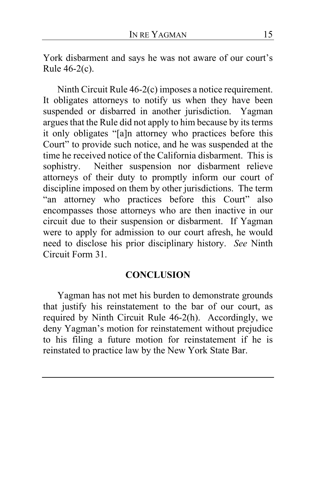York disbarment and says he was not aware of our court's Rule 46-2(c).

Ninth Circuit Rule 46-2(c) imposes a notice requirement. It obligates attorneys to notify us when they have been suspended or disbarred in another jurisdiction. Yagman argues that the Rule did not apply to him because by its terms it only obligates "[a]n attorney who practices before this Court" to provide such notice, and he was suspended at the time he received notice of the California disbarment. This is sophistry. Neither suspension nor disbarment relieve attorneys of their duty to promptly inform our court of discipline imposed on them by other jurisdictions. The term "an attorney who practices before this Court" also encompasses those attorneys who are then inactive in our circuit due to their suspension or disbarment. If Yagman were to apply for admission to our court afresh, he would need to disclose his prior disciplinary history. *See* Ninth Circuit Form 31.

# **CONCLUSION**

Yagman has not met his burden to demonstrate grounds that justify his reinstatement to the bar of our court, as required by Ninth Circuit Rule 46-2(h). Accordingly, we deny Yagman's motion for reinstatement without prejudice to his filing a future motion for reinstatement if he is reinstated to practice law by the New York State Bar.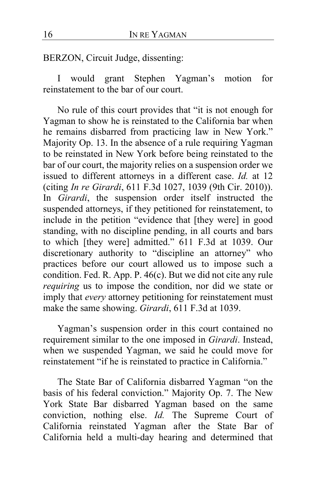BERZON, Circuit Judge, dissenting:

I would grant Stephen Yagman's motion for reinstatement to the bar of our court.

No rule of this court provides that "it is not enough for Yagman to show he is reinstated to the California bar when he remains disbarred from practicing law in New York." Majority Op. 13. In the absence of a rule requiring Yagman to be reinstated in New York before being reinstated to the bar of our court, the majority relies on a suspension order we issued to different attorneys in a different case. *Id.* at 12 (citing *In re Girardi*, 611 F.3d 1027, 1039 (9th Cir. 2010)). In *Girardi*, the suspension order itself instructed the suspended attorneys, if they petitioned for reinstatement, to include in the petition "evidence that [they were] in good standing, with no discipline pending, in all courts and bars to which [they were] admitted." 611 F.3d at 1039. Our discretionary authority to "discipline an attorney" who practices before our court allowed us to impose such a condition. Fed. R. App. P. 46(c). But we did not cite any rule *requiring* us to impose the condition, nor did we state or imply that *every* attorney petitioning for reinstatement must make the same showing. *Girardi*, 611 F.3d at 1039.

Yagman's suspension order in this court contained no requirement similar to the one imposed in *Girardi*. Instead, when we suspended Yagman, we said he could move for reinstatement "if he is reinstated to practice in California."

The State Bar of California disbarred Yagman "on the basis of his federal conviction." Majority Op. 7. The New York State Bar disbarred Yagman based on the same conviction, nothing else. *Id.* The Supreme Court of California reinstated Yagman after the State Bar of California held a multi-day hearing and determined that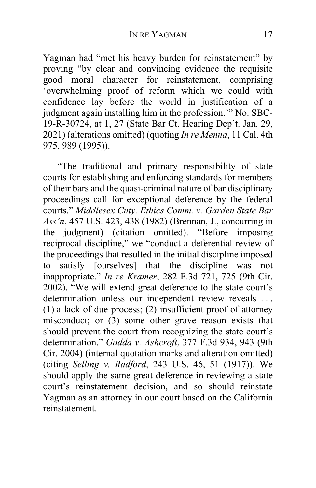Yagman had "met his heavy burden for reinstatement" by proving "by clear and convincing evidence the requisite good moral character for reinstatement, comprising 'overwhelming proof of reform which we could with confidence lay before the world in justification of a judgment again installing him in the profession." No. SBC-19-R-30724, at 1, 27 (State Bar Ct. Hearing Dep't. Jan. 29, 2021) (alterations omitted) (quoting *In re Menna*, 11 Cal. 4th 975, 989 (1995)).

"The traditional and primary responsibility of state courts for establishing and enforcing standards for members of their bars and the quasi-criminal nature of bar disciplinary proceedings call for exceptional deference by the federal courts." *Middlesex Cnty. Ethics Comm. v. Garden State Bar Ass'n*, 457 U.S. 423, 438 (1982) (Brennan, J., concurring in the judgment) (citation omitted). "Before imposing reciprocal discipline," we "conduct a deferential review of the proceedings that resulted in the initial discipline imposed to satisfy [ourselves] that the discipline was not inappropriate." *In re Kramer*, 282 F.3d 721, 725 (9th Cir. 2002). "We will extend great deference to the state court's determination unless our independent review reveals . . . (1) a lack of due process; (2) insufficient proof of attorney misconduct; or (3) some other grave reason exists that should prevent the court from recognizing the state court's determination." *Gadda v. Ashcroft*, 377 F.3d 934, 943 (9th Cir. 2004) (internal quotation marks and alteration omitted) (citing *Selling v. Radford*, 243 U.S. 46, 51 (1917)). We should apply the same great deference in reviewing a state court's reinstatement decision, and so should reinstate Yagman as an attorney in our court based on the California reinstatement.